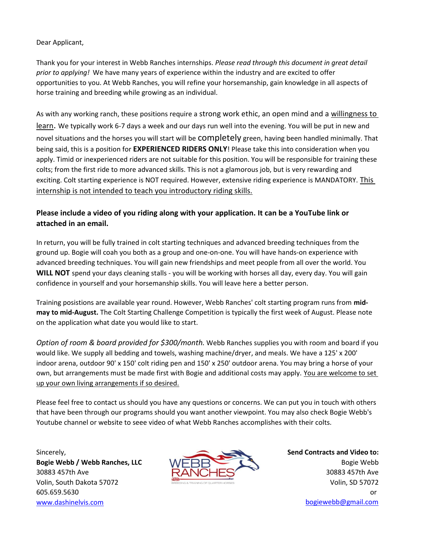Dear Applicant,

Thank you for your interest in Webb Ranches internships. *Please read through this document in great detail prior to applying!* We have many years of experience within the industry and are excited to offer opportunities to you. At Webb Ranches, you will refine your horsemanship, gain knowledge in all aspects of horse training and breeding while growing as an individual.

As with any working ranch, these positions require a strong work ethic, an open mind and a willingness to learn. We typically work 6-7 days a week and our days run well into the evening. You will be put in new and novel situations and the horses you will start will be completely green, having been handled minimally. That being said, this is a position for **EXPERIENCED RIDERS ONLY**! Please take this into consideration when you apply. Timid or inexperienced riders are not suitable for this position. You will be responsible for training these colts; from the first ride to more advanced skills. This is not a glamorous job, but is very rewarding and exciting. Colt starting experience is NOT required. However, extensive riding experience is MANDATORY. This internship is not intended to teach you introductory riding skills.

## **Please include a video of you riding along with your application. It can be a YouTube link or attached in an email.**

In return, you will be fully trained in colt starting techniques and advanced breeding techniques from the ground up. Bogie will coah you both as a group and one-on-one. You will have hands-on experience with advanced breeding techniques. You will gain new friendships and meet people from all over the world. You **WILL NOT** spend your days cleaning stalls - you will be working with horses all day, every day. You will gain confidence in yourself and your horsemanship skills. You will leave here a better person.

Training posistions are available year round. However, Webb Ranches' colt starting program runs from **midmay to mid-August.** The Colt Starting Challenge Competition is typically the first week of August. Please note on the application what date you would like to start.

*Option of room & board provided for \$300/month.* Webb Ranches supplies you with room and board if you would like. We supply all bedding and towels, washing machine/dryer, and meals. We have a 125' x 200' indoor arena, outdoor 90' x 150' colt riding pen and 150' x 250' outdoor arena. You may bring a horse of your own, but arrangements must be made first with Bogie and additional costs may apply. You are welcome to set up your own living arrangements if so desired.

Please feel free to contact us should you have any questions or concerns. We can put you in touch with others that have been through our programs should you want another viewpoint. You may also check Bogie Webb's Youtube channel or website to seee video of what Webb Ranches accomplishes with their colts.

Sincerely,

**Bogie Webb / Webb Ranches, LLC** 30883 457th Ave Volin, South Dakota 57072 605.659.5630 [www.dashi](http://www.dashinelvis.com/)nelvis.com bogiewebb@gmail.com



or **Send Contracts and Video to:** Bogie Webb 30883 457th Ave Volin, SD 57072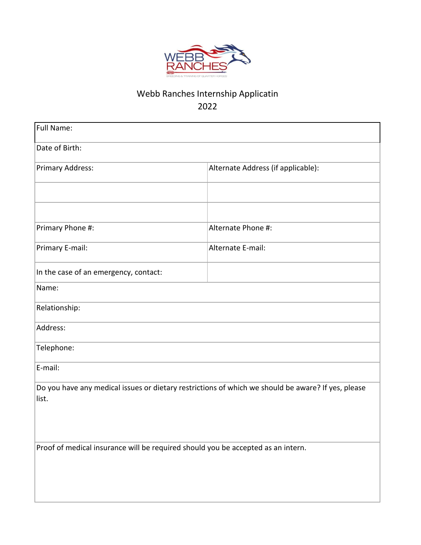

## Webb Ranches Internship Applicatin 2022

| <b>Full Name:</b>                                                                                  |                                    |  |  |  |
|----------------------------------------------------------------------------------------------------|------------------------------------|--|--|--|
| Date of Birth:                                                                                     |                                    |  |  |  |
| Primary Address:                                                                                   | Alternate Address (if applicable): |  |  |  |
|                                                                                                    |                                    |  |  |  |
|                                                                                                    |                                    |  |  |  |
| Primary Phone #:                                                                                   | Alternate Phone #:                 |  |  |  |
| Primary E-mail:                                                                                    | Alternate E-mail:                  |  |  |  |
| In the case of an emergency, contact:                                                              |                                    |  |  |  |
| Name:                                                                                              |                                    |  |  |  |
| Relationship:                                                                                      |                                    |  |  |  |
| Address:                                                                                           |                                    |  |  |  |
| Telephone:                                                                                         |                                    |  |  |  |
| E-mail:                                                                                            |                                    |  |  |  |
| Do you have any medical issues or dietary restrictions of which we should be aware? If yes, please |                                    |  |  |  |
| list.                                                                                              |                                    |  |  |  |
|                                                                                                    |                                    |  |  |  |
|                                                                                                    |                                    |  |  |  |
| Proof of medical insurance will be required should you be accepted as an intern.                   |                                    |  |  |  |
|                                                                                                    |                                    |  |  |  |
|                                                                                                    |                                    |  |  |  |
|                                                                                                    |                                    |  |  |  |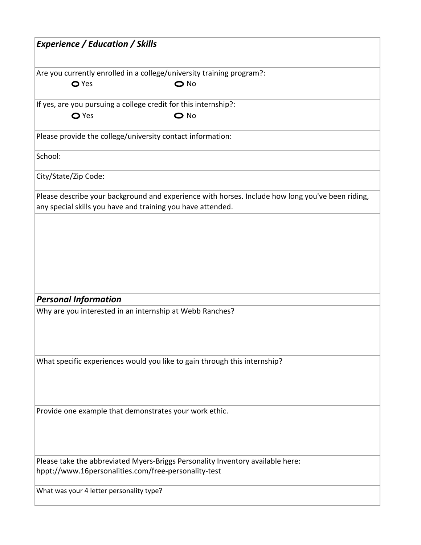| <b>O</b> Yes<br>$\bigcirc$ No<br>$\bigcirc$ No<br><b>O</b> Yes<br>Please describe your background and experience with horses. Include how long you've been riding,<br>any special skills you have and training you have attended.<br><b>Personal Information</b><br>Why are you interested in an internship at Webb Ranches?<br>What specific experiences would you like to gain through this internship?<br>Please take the abbreviated Myers-Briggs Personality Inventory available here:<br>hppt://www.16personalities.com/free-personality-test<br>What was your 4 letter personality type? | <b>Experience / Education / Skills</b>                                |  |  |
|-------------------------------------------------------------------------------------------------------------------------------------------------------------------------------------------------------------------------------------------------------------------------------------------------------------------------------------------------------------------------------------------------------------------------------------------------------------------------------------------------------------------------------------------------------------------------------------------------|-----------------------------------------------------------------------|--|--|
|                                                                                                                                                                                                                                                                                                                                                                                                                                                                                                                                                                                                 | Are you currently enrolled in a college/university training program?: |  |  |
|                                                                                                                                                                                                                                                                                                                                                                                                                                                                                                                                                                                                 | If yes, are you pursuing a college credit for this internship?:       |  |  |
|                                                                                                                                                                                                                                                                                                                                                                                                                                                                                                                                                                                                 | Please provide the college/university contact information:            |  |  |
|                                                                                                                                                                                                                                                                                                                                                                                                                                                                                                                                                                                                 | School:                                                               |  |  |
|                                                                                                                                                                                                                                                                                                                                                                                                                                                                                                                                                                                                 | City/State/Zip Code:                                                  |  |  |
|                                                                                                                                                                                                                                                                                                                                                                                                                                                                                                                                                                                                 |                                                                       |  |  |
|                                                                                                                                                                                                                                                                                                                                                                                                                                                                                                                                                                                                 |                                                                       |  |  |
|                                                                                                                                                                                                                                                                                                                                                                                                                                                                                                                                                                                                 |                                                                       |  |  |
|                                                                                                                                                                                                                                                                                                                                                                                                                                                                                                                                                                                                 |                                                                       |  |  |
|                                                                                                                                                                                                                                                                                                                                                                                                                                                                                                                                                                                                 |                                                                       |  |  |
|                                                                                                                                                                                                                                                                                                                                                                                                                                                                                                                                                                                                 |                                                                       |  |  |
|                                                                                                                                                                                                                                                                                                                                                                                                                                                                                                                                                                                                 |                                                                       |  |  |
|                                                                                                                                                                                                                                                                                                                                                                                                                                                                                                                                                                                                 |                                                                       |  |  |
|                                                                                                                                                                                                                                                                                                                                                                                                                                                                                                                                                                                                 |                                                                       |  |  |
|                                                                                                                                                                                                                                                                                                                                                                                                                                                                                                                                                                                                 |                                                                       |  |  |
|                                                                                                                                                                                                                                                                                                                                                                                                                                                                                                                                                                                                 |                                                                       |  |  |
|                                                                                                                                                                                                                                                                                                                                                                                                                                                                                                                                                                                                 |                                                                       |  |  |
|                                                                                                                                                                                                                                                                                                                                                                                                                                                                                                                                                                                                 | Provide one example that demonstrates your work ethic.                |  |  |
|                                                                                                                                                                                                                                                                                                                                                                                                                                                                                                                                                                                                 |                                                                       |  |  |
|                                                                                                                                                                                                                                                                                                                                                                                                                                                                                                                                                                                                 |                                                                       |  |  |
|                                                                                                                                                                                                                                                                                                                                                                                                                                                                                                                                                                                                 |                                                                       |  |  |
|                                                                                                                                                                                                                                                                                                                                                                                                                                                                                                                                                                                                 |                                                                       |  |  |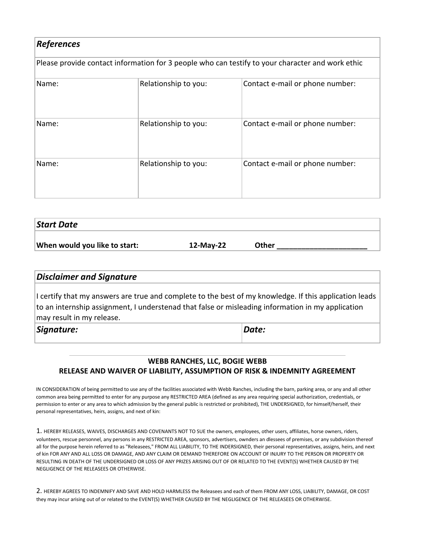| <b>References</b><br>Please provide contact information for 3 people who can testify to your character and work ethic |                      |                                 |  |  |
|-----------------------------------------------------------------------------------------------------------------------|----------------------|---------------------------------|--|--|
|                                                                                                                       |                      |                                 |  |  |
| Name:                                                                                                                 | Relationship to you: | Contact e-mail or phone number: |  |  |
| Name:                                                                                                                 | Relationship to you: | Contact e-mail or phone number: |  |  |

| Start Date                    |           |       |
|-------------------------------|-----------|-------|
| When would you like to start: | 12-May-22 | Other |
|                               |           |       |

## *Disclaimer and Signature* I certify that my answers are true and complete to the best of my knowledge. If this application leads to an internship assignment, I understenad that false or misleading information in my application may result in my release. *Signature: Date:*

## **WEBB RANCHES, LLC, BOGIE WEBB RELEASE AND WAIVER OF LIABILITY, ASSUMPTION OF RISK & INDEMNITY AGREEMENT**

IN CONSIDERATION of being permitted to use any of the facilities associated with Webb Ranches, including the barn, parking area, or any and all other common area being permitted to enter for any purpose any RESTRICTED AREA (defined as any area requiring special authorization, credentials, or permission to enter or any area to which admission by the general public is restricted or prohibited), THE UNDERSIGNED, for himself/herself, their personal representatives, heirs, assigns, and next of kin:

1. HEREBY RELEASES, WAIVES, DISCHARGES AND COVENANTS NOT TO SUE the owners, employees, other users, affiliates, horse owners, riders, volunteers, rescue personnel, any persons in any RESTRICTED AREA, sponsors, advertisers, ownders an dlessees of premises, or any subdivision thereof all for the purpose herein referred to as "Releasees," FROM ALL LIABILITY, TO THE INDERSIGNED, their personal representatives, assigns, heirs, and next of kin FOR ANY AND ALL LOSS OR DAMAGE, AND ANY CLAIM OR DEMAND THEREFORE ON ACCOUNT OF INJURY TO THE PERSON OR PROPERTY OR RESULTING IN DEATH OF THE UNDERSIGNED OR LOSS OF ANY PRIZES ARISING OUT OF OR RELATED TO THE EVENT(S) WHETHER CAUSED BY THE NEGLIGENCE OF THE RELEASEES OR OTHERWISE.

2. HEREBY AGREES TO INDEMNIFY AND SAVE AND HOLD HARMLESS the Releasees and each of them FROM ANY LOSS, LIABILITY, DAMAGE, OR COST they may incur arising out of or related to the EVENT(S) WHETHER CAUSED BY THE NEGLIGENCE OF THE RELEASEES OR OTHERWISE.